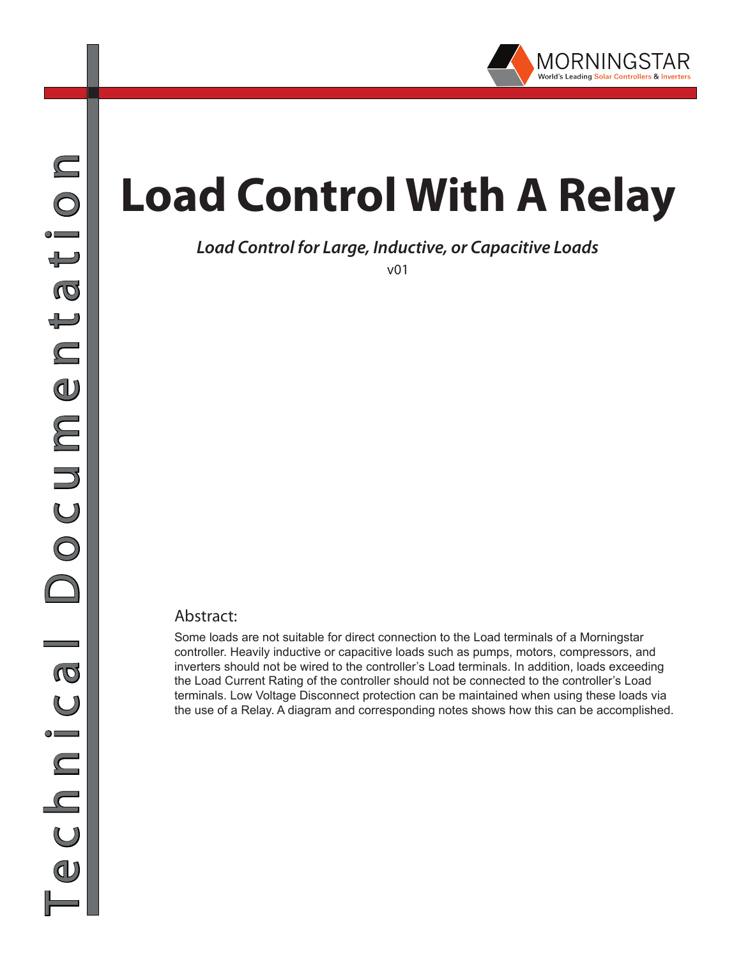

## **Load Control With A Relay**

## *Load Control for Large, Inductive, or Capacitive Loads*

v01

## Abstract:

Some loads are not suitable for direct connection to the Load terminals of a Morningstar controller. Heavily inductive or capacitive loads such as pumps, motors, compressors, and inverters should not be wired to the controller's Load terminals. In addition, loads exceeding the Load Current Rating of the controller should not be connected to the controller's Load terminals. Low Voltage Disconnect protection can be maintained when using these loads via the use of a Relay. A diagram and corresponding notes shows how this can be accomplished.